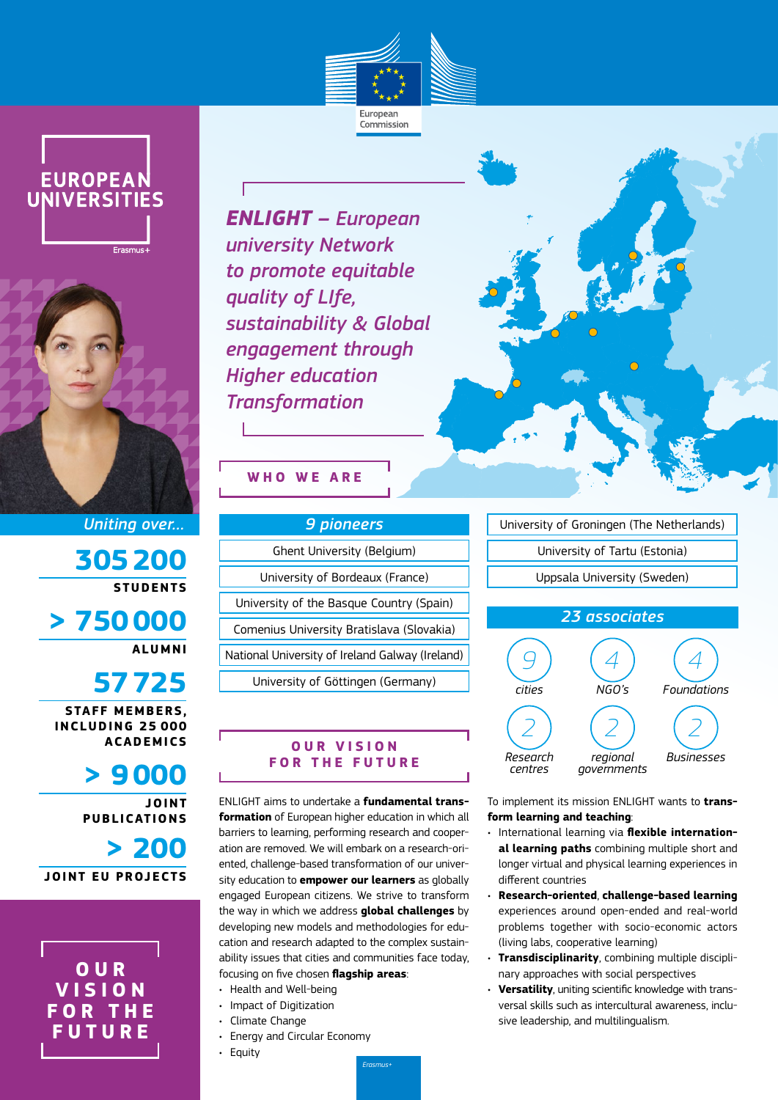





*Uniting over…*

**305200 STUDENTS**

**> 750000 ALUMNI**

**57725 STAFF MEMBERS,** 

**INCLUDING 25 000 ACADEMICS**

**> 9000**

**JOINT PUBLICATIONS**

**> 200 JOINT EU PROJECTS**

**O U R V I S I O N F O R T H E FUTURE**

*ENLIGHT – European university Network to promote equitable quality of LIfe, sustainability & Global engagement through Higher education Transformation*

# **WHO WE ARE**

| <b>9 pioneers</b>                               |
|-------------------------------------------------|
| Ghent University (Belgium)                      |
| University of Bordeaux (France)                 |
| University of the Basque Country (Spain)        |
| Comenius University Bratislava (Slovakia)       |
| National University of Ireland Galway (Ireland) |
| University of Göttingen (Germany)               |
|                                                 |

## **OUR VISION FOR THE FUTURE**

ENLIGHT aims to undertake a **fundamental transformation** of European higher education in which all barriers to learning, performing research and cooperation are removed. We will embark on a research-oriented, challenge-based transformation of our university education to **empower our learners** as globally engaged European citizens. We strive to transform the way in which we address **global challenges** by developing new models and methodologies for education and research adapted to the complex sustainability issues that cities and communities face today, focusing on five chosen **flagship areas**:

- Health and Well-being
- Impact of Digitization
- Climate Change
- Energy and Circular Economy
- Equity

University of Groningen (The Netherlands) University of Tartu (Estonia) Uppsala University (Sweden)



To implement its mission ENLIGHT wants to **transform learning and teaching**:

- International learning via **flexible international learning paths** combining multiple short and longer virtual and physical learning experiences in different countries
- **Research-oriented**, **challenge-based learning** experiences around open-ended and real-world problems together with socio-economic actors (living labs, cooperative learning)
- **Transdisciplinarity**, combining multiple disciplinary approaches with social perspectives
- **Versatility**, uniting scientific knowledge with transversal skills such as intercultural awareness, inclusive leadership, and multilingualism.
- *Erasmus+*